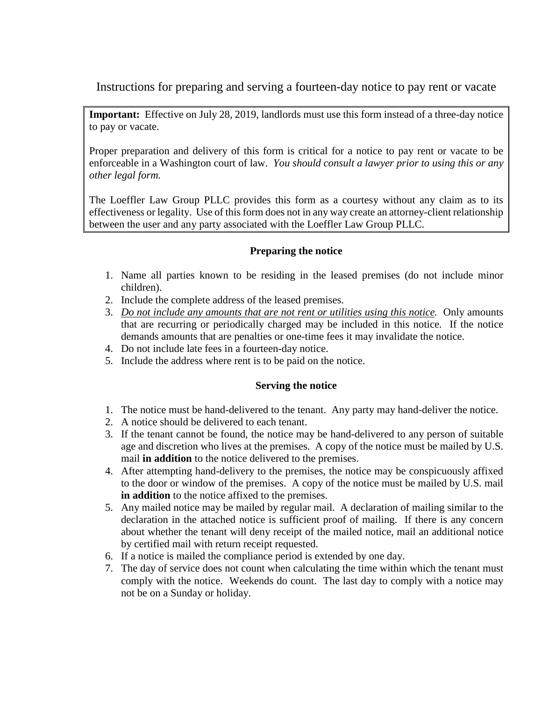Instructions for preparing and serving a fourteen-day notice to pay rent or vacate

**Important:** Effective on July 28, 2019, landlords must use this form instead of a three-day notice to pay or vacate.

Proper preparation and delivery of this form is critical for a notice to pay rent or vacate to be enforceable in a Washington court of law. *You should consult a lawyer prior to using this or any other legal form.*

The Loeffler Law Group PLLC provides this form as a courtesy without any claim as to its effectiveness or legality. Use of this form does not in any way create an attorney-client relationship between the user and any party associated with the Loeffler Law Group PLLC.

## **Preparing the notice**

- 1. Name all parties known to be residing in the leased premises (do not include minor children).
- 2. Include the complete address of the leased premises.
- 3. *Do not include any amounts that are not rent or utilities using this notice.* Only amounts that are recurring or periodically charged may be included in this notice. If the notice demands amounts that are penalties or one-time fees it may invalidate the notice.
- 4. Do not include late fees in a fourteen-day notice.
- 5. Include the address where rent is to be paid on the notice.

## **Serving the notice**

- 1. The notice must be hand-delivered to the tenant. Any party may hand-deliver the notice.
- 2. A notice should be delivered to each tenant.
- 3. If the tenant cannot be found, the notice may be hand-delivered to any person of suitable age and discretion who lives at the premises. A copy of the notice must be mailed by U.S. mail **in addition** to the notice delivered to the premises.
- 4. After attempting hand-delivery to the premises, the notice may be conspicuously affixed to the door or window of the premises. A copy of the notice must be mailed by U.S. mail **in addition** to the notice affixed to the premises.
- 5. Any mailed notice may be mailed by regular mail. A declaration of mailing similar to the declaration in the attached notice is sufficient proof of mailing. If there is any concern about whether the tenant will deny receipt of the mailed notice, mail an additional notice by certified mail with return receipt requested.
- 6. If a notice is mailed the compliance period is extended by one day.
- 7. The day of service does not count when calculating the time within which the tenant must comply with the notice. Weekends do count. The last day to comply with a notice may not be on a Sunday or holiday.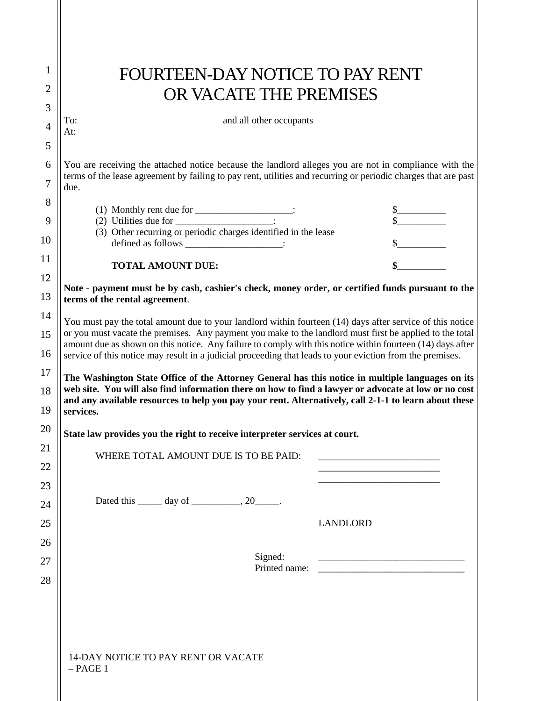| FOURTEEN-DAY NOTICE TO PAY RENT                                                                                                                                                                                                                                                                                                                                                                                                                                                                                                                                                                                                                                                |                                                                                                                       |
|--------------------------------------------------------------------------------------------------------------------------------------------------------------------------------------------------------------------------------------------------------------------------------------------------------------------------------------------------------------------------------------------------------------------------------------------------------------------------------------------------------------------------------------------------------------------------------------------------------------------------------------------------------------------------------|-----------------------------------------------------------------------------------------------------------------------|
| OR VACATE THE PREMISES                                                                                                                                                                                                                                                                                                                                                                                                                                                                                                                                                                                                                                                         |                                                                                                                       |
| and all other occupants<br>To:                                                                                                                                                                                                                                                                                                                                                                                                                                                                                                                                                                                                                                                 |                                                                                                                       |
| At:                                                                                                                                                                                                                                                                                                                                                                                                                                                                                                                                                                                                                                                                            |                                                                                                                       |
|                                                                                                                                                                                                                                                                                                                                                                                                                                                                                                                                                                                                                                                                                |                                                                                                                       |
| You are receiving the attached notice because the landlord alleges you are not in compliance with the<br>terms of the lease agreement by failing to pay rent, utilities and recurring or periodic charges that are past<br>due.                                                                                                                                                                                                                                                                                                                                                                                                                                                |                                                                                                                       |
| (1) Monthly rent due for $\frac{1}{2}$ :                                                                                                                                                                                                                                                                                                                                                                                                                                                                                                                                                                                                                                       | $\begin{array}{c c}\n\text{S}\n\hline\n\text{S}\n\hline\n\end{array}$                                                 |
| (3) Other recurring or periodic charges identified in the lease                                                                                                                                                                                                                                                                                                                                                                                                                                                                                                                                                                                                                |                                                                                                                       |
| defined as follows ______________________:                                                                                                                                                                                                                                                                                                                                                                                                                                                                                                                                                                                                                                     |                                                                                                                       |
| <b>TOTAL AMOUNT DUE:</b>                                                                                                                                                                                                                                                                                                                                                                                                                                                                                                                                                                                                                                                       |                                                                                                                       |
| Note - payment must be by cash, cashier's check, money order, or certified funds pursuant to the<br>terms of the rental agreement.                                                                                                                                                                                                                                                                                                                                                                                                                                                                                                                                             |                                                                                                                       |
| You must pay the total amount due to your landlord within fourteen (14) days after service of this notice<br>or you must vacate the premises. Any payment you make to the landlord must first be applied to the total                                                                                                                                                                                                                                                                                                                                                                                                                                                          |                                                                                                                       |
|                                                                                                                                                                                                                                                                                                                                                                                                                                                                                                                                                                                                                                                                                |                                                                                                                       |
|                                                                                                                                                                                                                                                                                                                                                                                                                                                                                                                                                                                                                                                                                |                                                                                                                       |
|                                                                                                                                                                                                                                                                                                                                                                                                                                                                                                                                                                                                                                                                                |                                                                                                                       |
|                                                                                                                                                                                                                                                                                                                                                                                                                                                                                                                                                                                                                                                                                |                                                                                                                       |
| WHERE TOTAL AMOUNT DUE IS TO BE PAID:                                                                                                                                                                                                                                                                                                                                                                                                                                                                                                                                                                                                                                          | <u> 1989 - Johann Harry Harry Harry Harry Harry Harry Harry Harry Harry Harry Harry Harry Harry Harry Harry Harry</u> |
|                                                                                                                                                                                                                                                                                                                                                                                                                                                                                                                                                                                                                                                                                |                                                                                                                       |
| Dated this $\_\_\_\_$ day of $\_\_\_\_\_$ , 20 $\_\_\_\_\_\.$                                                                                                                                                                                                                                                                                                                                                                                                                                                                                                                                                                                                                  |                                                                                                                       |
|                                                                                                                                                                                                                                                                                                                                                                                                                                                                                                                                                                                                                                                                                | <b>LANDLORD</b>                                                                                                       |
|                                                                                                                                                                                                                                                                                                                                                                                                                                                                                                                                                                                                                                                                                |                                                                                                                       |
| Signed:                                                                                                                                                                                                                                                                                                                                                                                                                                                                                                                                                                                                                                                                        |                                                                                                                       |
|                                                                                                                                                                                                                                                                                                                                                                                                                                                                                                                                                                                                                                                                                |                                                                                                                       |
|                                                                                                                                                                                                                                                                                                                                                                                                                                                                                                                                                                                                                                                                                |                                                                                                                       |
|                                                                                                                                                                                                                                                                                                                                                                                                                                                                                                                                                                                                                                                                                |                                                                                                                       |
| amount due as shown on this notice. Any failure to comply with this notice within fourteen (14) days after<br>service of this notice may result in a judicial proceeding that leads to your eviction from the premises.<br>The Washington State Office of the Attorney General has this notice in multiple languages on its<br>web site. You will also find information there on how to find a lawyer or advocate at low or no cost<br>and any available resources to help you pay your rent. Alternatively, call 2-1-1 to learn about these<br>services.<br>State law provides you the right to receive interpreter services at court.<br>14-DAY NOTICE TO PAY RENT OR VACATE |                                                                                                                       |